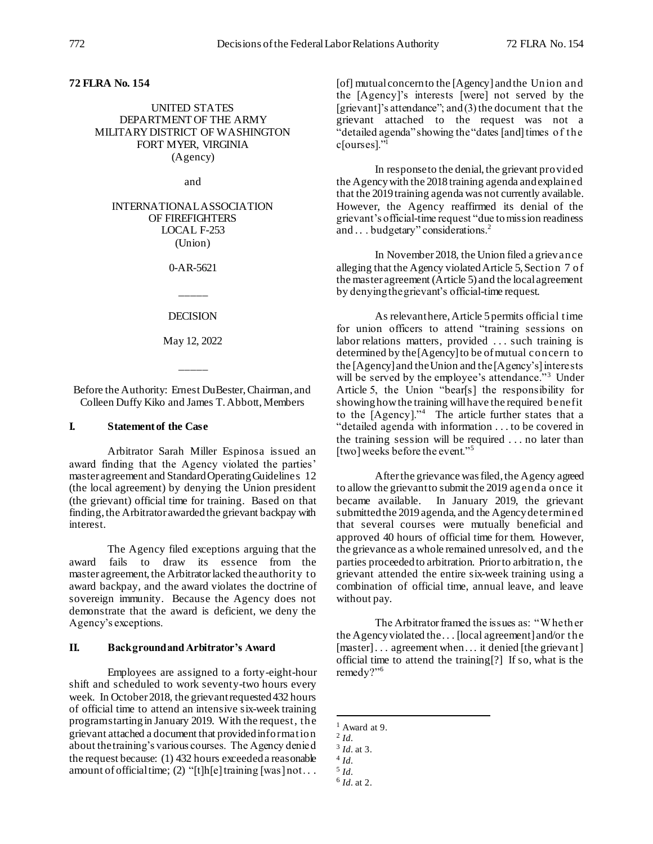## **72 FLRA No. 154**

UNITED STATES DEPARTMENT OF THE ARMY MILITARY DISTRICT OF WASHINGTON FORT MYER, VIRGINIA (Agency)

and

INTERNATIONAL ASSOCIATION OF FIREFIGHTERS LOCAL F-253 (Union)

0-AR-5621

**DECISION** 

\_\_\_\_\_

May 12, 2022

\_\_\_\_\_

Before the Authority: Ernest DuBester, Chairman, and Colleen Duffy Kiko and James T. Abbott, Members

### **I. Statement of the Case**

Arbitrator Sarah Miller Espinosa issued an award finding that the Agency violated the parties' master agreement and Standard Operating Guidelines 12 (the local agreement) by denying the Union president (the grievant) official time for training. Based on that finding, the Arbitrator awarded the grievant backpay with interest.

The Agency filed exceptions arguing that the award fails to draw its essence from the master agreement, the Arbitrator lacked the authority to award backpay, and the award violates the doctrine of sovereign immunity. Because the Agency does not demonstrate that the award is deficient, we deny the Agency's exceptions.

### **II. Background and Arbitrator's Award**

Employees are assigned to a forty-eight-hour shift and scheduled to work seventy-two hours every week. In October 2018, the grievant requested 432 hours of official time to attend an intensive six-week training program starting in January 2019. With the request, the grievant attached a document that provided information about the training's various courses. The Agency denied the request because: (1) 432 hours exceeded a reasonable amount of official time; (2) "[t]h[e] training [was] not . . .

[of] mutual concern to the [Agency] and the Union and the [Agency]'s interests [were] not served by the [grievant]'s attendance"; and  $(3)$  the document that the grievant attached to the request was not a "detailed agenda" showing the "dates [and] times of the c[ourses]."<sup>1</sup>

In response to the denial, the grievant provided the Agency with the 2018 training agenda and explained that the 2019 training agenda was not currently available. However, the Agency reaffirmed its denial of the grievant's official-time request "due to mission readiness and . . . budgetary" considerations.<sup>2</sup>

In November 2018, the Union filed a grievance alleging that the Agency violated Article 5, Section 7 of the master agreement (Article 5) and the local agreement by denying the grievant's official-time request.

As relevant here, Article 5permits official time for union officers to attend "training sessions on labor relations matters, provided ... such training is determined by the [Agency] to be of mutual concern to the [Agency] and the Union and the [Agency's] interests will be served by the employee's attendance."<sup>3</sup> Under Article 5, the Union "bear[s] the responsibility for showing how the training will have the required benefit to the [Agency]."<sup>4</sup> The article further states that a "detailed agenda with information . . . to be covered in the training session will be required . . . no later than [two] weeks before the event."<sup>5</sup>

After the grievance was filed, the Agency agreed to allow the grievant to submit the 2019 agenda once it became available. In January 2019, the grievant submitted the 2019 agenda, and the Agency determined that several courses were mutually beneficial and approved 40 hours of official time for them. However, the grievance as a whole remained unresolved, and the parties proceeded to arbitration. Prior to arbitration, the grievant attended the entire six-week training using a combination of official time, annual leave, and leave without pay.

The Arbitrator framed the issues as: "W hether the Agency violated the . . . [local agreement] and/or the [master]... agreement when ... it denied [the grievant] official time to attend the training[?] If so, what is the remedy?"<sup>6</sup>

l

 $<sup>1</sup>$  Award at 9.</sup>

<sup>2</sup> *Id.*

<sup>3</sup> *Id.* at 3.

<sup>4</sup> *Id.*

<sup>5</sup> *Id.* 

<sup>6</sup> *Id.* at 2.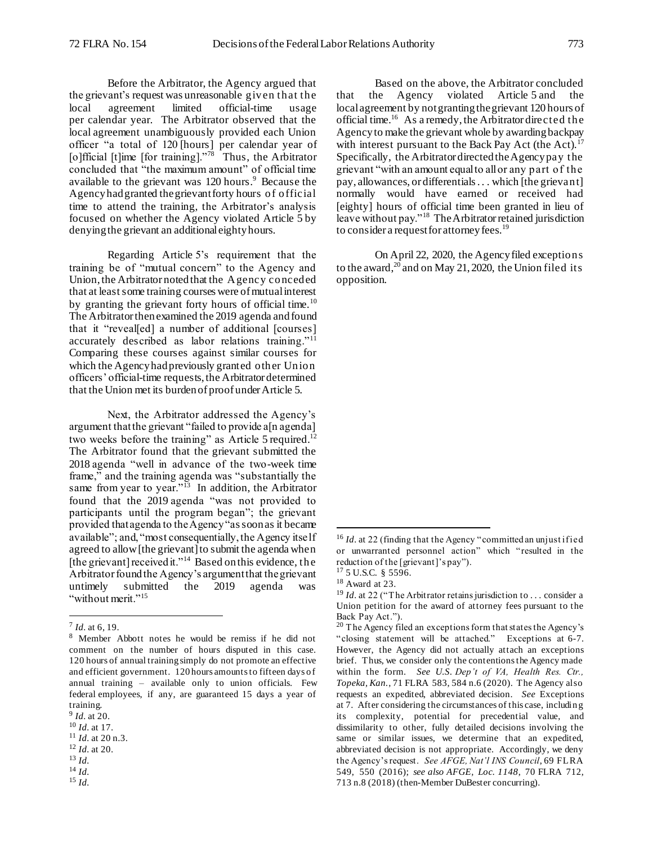Before the Arbitrator, the Agency argued that the grievant's request was unreasonable given that the local agreement limited official-time usage per calendar year. The Arbitrator observed that the local agreement unambiguously provided each Union officer "a total of 120 [hours] per calendar year of [o]fficial [t]ime [for training]."<sup>78</sup> Thus, the Arbitrator concluded that "the maximum amount" of official time available to the grievant was 120 hours.<sup>9</sup> Because the Agency had granted the grievant forty hours of official time to attend the training, the Arbitrator's analysis focused on whether the Agency violated Article 5 by denying the grievant an additional eighty hours.

Regarding Article 5's requirement that the training be of "mutual concern" to the Agency and Union, the Arbitrator noted that the Agency conceded that at least some training courses were of mutual interest by granting the grievant forty hours of official time.<sup>10</sup> The Arbitrator then examined the 2019 agenda and found that it "reveal[ed] a number of additional [courses] accurately described as labor relations training."<sup>11</sup> Comparing these courses against similar courses for which the Agency had previously granted other Union officers' official-time requests, the Arbitrator determined that the Union met its burden of proof under Article 5.

Next, the Arbitrator addressed the Agency's argument that the grievant "failed to provide a[n agenda] two weeks before the training" as Article 5 required.<sup>12</sup> The Arbitrator found that the grievant submitted the 2018 agenda "well in advance of the two-week time frame," and the training agenda was "substantially the same from year to year."<sup>13</sup> In addition, the Arbitrator found that the 2019 agenda "was not provided to participants until the program began"; the grievant provided that agenda to the Agency "as soon as it became available"; and, "most consequentially, the Agency itself agreed to allow [the grievant] to submit the agenda when [the grievant] received it."<sup>14</sup> Based on this evidence, the Arbitrator found the Agency's argument that the grievant untimely submitted the 2019 agenda was "without merit."<sup>15</sup>

l

<sup>15</sup> *Id.*

On April 22, 2020, the Agency filed exceptions to the award,<sup>20</sup> and on May 21, 2020, the Union filed its opposition.

to consider a request for attorney fees.<sup>19</sup>

l

<sup>7</sup> *Id.* at 6, 19.

<sup>8</sup> Member Abbott notes he would be remiss if he did not comment on the number of hours disputed in this case. 120 hours of annual training simply do not promote an effective and efficient government. 120 hours amounts to fifteen days o f annual training – available only to union officials. Few federal employees, if any, are guaranteed 15 days a year of training.

<sup>9</sup> *Id.* at 20.

<sup>10</sup> *Id.* at 17.

<sup>11</sup> *Id.* at 20 n.3.

<sup>12</sup> *Id.* at 20. <sup>13</sup> *Id.* 

 $^{14}\,Id.$ 

Based on the above, the Arbitrator concluded that the Agency violated Article 5 and the local agreement by not granting the grievant 120 hours of official time.<sup>16</sup> As a remedy, the Arbitrator directed the Agency to make the grievant whole by awarding backpay with interest pursuant to the Back Pay Act (the Act). $17$ Specifically, the Arbitrator directed the Agency pay the grievant "with an amount equal to all or any part of the pay, allowances, or differentials . . . which [the grievant] normally would have earned or received had [eighty] hours of official time been granted in lieu of leave without pay."<sup>18</sup> The Arbitrator retained jurisdiction

<sup>&</sup>lt;sup>16</sup> *Id.* at 22 (finding that the Agency "committed an unjust if ied or unwarranted personnel action" which "resulted in the reduction of the [grievant]'s pay").

<sup>17</sup> 5 U.S.C. § 5596. <sup>18</sup> Award at 23.

<sup>&</sup>lt;sup>19</sup> *Id.* at 22 ("The Arbitrator retains jurisdiction to ... consider a Union petition for the award of attorney fees pursuant to the Back Pay Act.").

 $20$  The Agency filed an exceptions form that states the Agency's "closing statement will be attached." Exceptions at 6-7. However, the Agency did not actually attach an exceptions brief. Thus, we consider only the contentions the Agency made within the form. *See U.S. Dep't of VA, Health Res. Ctr., Topeka, Kan.*, 71 FLRA 583, 584 n.6 (2020). The Agency also requests an expedited, abbreviated decision. *See* Exceptions at 7. After considering the circumstances of this case, includin g its complexity, potential for precedential value, and dissimilarity to other, fully detailed decisions involving the same or similar issues, we determine that an expedited, abbreviated decision is not appropriate. Accordingly, we deny the Agency's request. *See AFGE, Nat'l INS Council*, 69 FLRA 549, 550 (2016); *see also AFGE, Loc. 1148*, 70 FLRA 712, 713 n.8 (2018) (then-Member DuBester concurring).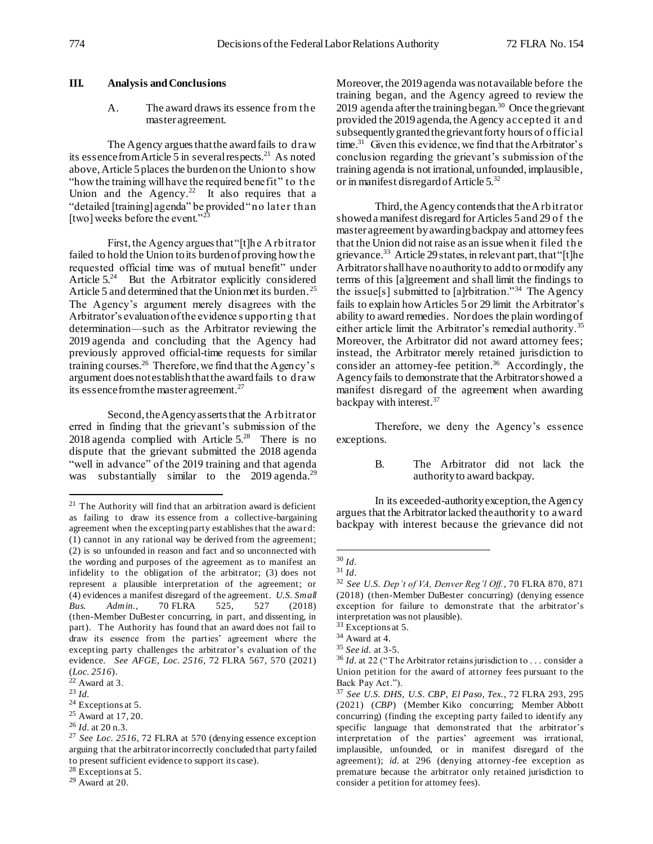## **III. Analysis and Conclusions**

### A. The award draws its essence from the master agreement.

The Agency argues that the award fails to draw its essence from Article 5 in several respects.<sup>21</sup> As noted above, Article 5places the burden on the Union to s how "how the training will have the required benefit" to the Union and the Agency.<sup>22</sup> It also requires that a "detailed [training] agenda" be provided "no later than [two] weeks before the event."<sup>23</sup>

First, the Agency argues that "[t]he Arbitrator failed to hold the Union to its burden of proving how the requested official time was of mutual benefit" under Article 5.<sup>24</sup> But the Arbitrator explicitly considered Article 5 and determined that the Union met its burden.<sup>25</sup> The Agency's argument merely disagrees with the Arbitrator's evaluation of the evidence s upporting that determination—such as the Arbitrator reviewing the 2019 agenda and concluding that the Agency had previously approved official-time requests for similar training courses.<sup>26</sup> Therefore, we find that the Agency's argument does not establish that the award fails to draw its essence from the master agreement.<sup>27</sup>

Second, the Agency asserts that the Arbitrator erred in finding that the grievant's submission of the 2018 agenda complied with Article  $5.^{28}$  There is no dispute that the grievant submitted the 2018 agenda "well in advance" of the 2019 training and that agenda was substantially similar to the  $2019$  agenda.<sup>29</sup>

l

Moreover, the 2019 agenda was not available before the training began, and the Agency agreed to review the 2019 agenda after the training began.<sup>30</sup> Once the grievant provided the 2019 agenda, the Agency accepted it and subsequently granted the grievant forty hours of official time.<sup>31</sup> Given this evidence, we find that the Arbitrator's conclusion regarding the grievant's submission of the training agenda is not irrational, unfounded, implausible, or in manifest disregard of Article 5.<sup>32</sup>

Third, the Agency contends that the Arbitrator showed a manifest disregard for Articles 5and 29 of the master agreement by awarding backpay and attorney fees that the Union did not raise as an issue when it filed the grievance.<sup>33</sup> Article 29 states, in relevant part, that "[t]he Arbitrator shall have no authority to add to or modify any terms of this [a]greement and shall limit the findings to the issue[s] submitted to [a]rbitration."<sup>34</sup> The Agency fails to explain how Articles 5or 29 limit the Arbitrator's ability to award remedies. Nor does the plain wording of either article limit the Arbitrator's remedial authority.<sup>35</sup> Moreover, the Arbitrator did not award attorney fees; instead, the Arbitrator merely retained jurisdiction to consider an attorney-fee petition.<sup>36</sup> Accordingly, the Agency fails to demonstrate that the Arbitrator showed a manifest disregard of the agreement when awarding backpay with interest.<sup>37</sup>

Therefore, we deny the Agency's essence exceptions.

> B. The Arbitrator did not lack the authority to award backpay.

In its exceeded-authority exception, the Agency argues that the Arbitrator lacked the authority to award backpay with interest because the grievance did not

 $21$  The Authority will find that an arbitration award is deficient as failing to draw its essence from a collective-bargaining agreement when the excepting party establishes that the award: (1) cannot in any rational way be derived from the agreement; (2) is so unfounded in reason and fact and so unconnected with the wording and purposes of the agreement as to manifest an infidelity to the obligation of the arbitrator; (3) does not represent a plausible interpretation of the agreement; or (4) evidences a manifest disregard of the agreement. *U.S. Small Bus. Admin.*, 70 FLRA 525, 527 (2018) (then-Member DuBester concurring, in part, and dissenting, in part). The Authority has found that an award does not fail to draw its essence from the parties' agreement where the excepting party challenges the arbitrator's evaluation of the evidence. *See AFGE, Loc. 2516*, 72 FLRA 567, 570 (2021) (*Loc. 2516*).

 $22$  Award at 3.

<sup>23</sup> *Id.*

<sup>&</sup>lt;sup>24</sup> Exceptions at 5. <sup>25</sup> Award at 17, 20.

<sup>26</sup> *Id.* at 20 n.3.

<sup>27</sup> *See Loc. 2516*, 72 FLRA at 570 (denying essence exception arguing that the arbitrator incorrectly concluded that party failed to present sufficient evidence to support its case).

 $28$  Exceptions at 5.

 $29$  Award at 20.

<sup>30</sup> *Id.*

<sup>31</sup> *Id.* 

<sup>32</sup> *See U.S. Dep't of VA, Denver Reg'l Off.*, 70 FLRA 870, 871 (2018) (then-Member DuBester concurring) (denying essence exception for failure to demonstrate that the arbitrator's interpretation was not plausible).

<sup>33</sup> Exceptions at 5.

<sup>34</sup> Award at 4.

<sup>35</sup> *See id.* at 3-5.

<sup>&</sup>lt;sup>36</sup> *Id.* at 22 ("The Arbitrator retains jurisdiction to . . . consider a Union petition for the award of attorney fees pursuant to the Back Pay Act.").

<sup>37</sup> *See U.S. DHS, U.S. CBP, El Paso, Tex.*, 72 FLRA 293, 295 (2021) (*CBP*) (Member Kiko concurring; Member Abbott concurring) (finding the excepting party failed to identify any specific language that demonstrated that the arbitrator's interpretation of the parties' agreement was irrational, implausible, unfounded, or in manifest disregard of the agreement); *id.* at 296 (denying attorney-fee exception as premature because the arbitrator only retained jurisdiction to consider a petition for attorney fees).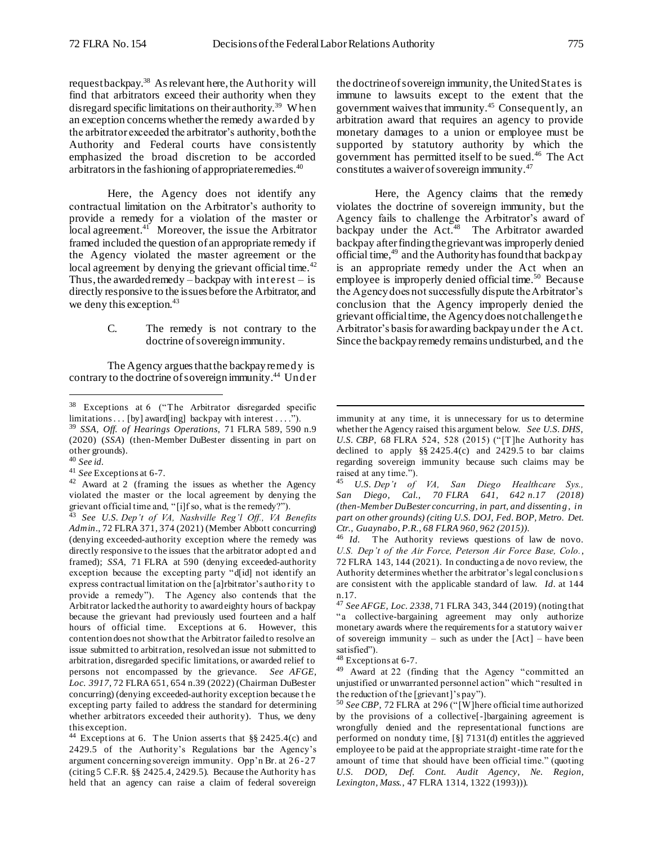l

request backpay.<sup>38</sup> As relevant here, the Authority will find that arbitrators exceed their authority when they disregard specific limitations on their authority.<sup>39</sup> W hen an exception concerns whether the remedy awarded by the arbitrator exceeded the arbitrator's authority, both the Authority and Federal courts have consistently emphasized the broad discretion to be accorded arbitrators in the fashioning of appropriate remedies.<sup>40</sup>

Here, the Agency does not identify any contractual limitation on the Arbitrator's authority to provide a remedy for a violation of the master or local agreement. $41$  Moreover, the issue the Arbitrator framed included the question of an appropriate remedy if the Agency violated the master agreement or the local agreement by denying the grievant official time.<sup>42</sup> Thus, the awarded remedy – backpay with interest – is directly responsive to the issues before the Arbitrator, and we deny this exception.<sup>43</sup>

## C. The remedy is not contrary to the doctrine of sovereign immunity.

The Agency argues that the backpay remedy is contrary to the doctrine of sovereign immunity.<sup>44</sup> Under

l

the doctrine of sovereign immunity, the United States is immune to lawsuits except to the extent that the government waivesthat immunity*.* <sup>45</sup> Consequently, an arbitration award that requires an agency to provide monetary damages to a union or employee must be supported by statutory authority by which the government has permitted itself to be sued.<sup>46</sup> The Act constitutes a waiver of sovereign immunity.<sup>47</sup>

Here, the Agency claims that the remedy violates the doctrine of sovereign immunity, but the Agency fails to challenge the Arbitrator's award of backpay under the Act.<sup>48</sup> The Arbitrator awarded backpay after finding the grievant was improperly denied official time, $49$  and the Authority has found that backpay is an appropriate remedy under the Act when an employee is improperly denied official time.<sup>50</sup> Because the Agency does not successfully dispute the Arbitrator's conclusion that the Agency improperly denied the grievant official time, the Agency does not challenge the Arbitrator's basis for awarding backpay under the Act. Since the backpay remedy remains undisturbed, and the

<sup>38</sup> Exceptions at 6 ("The Arbitrator disregarded specific limitations . . . [by] award[ing] backpay with interest . . . ."). <sup>39</sup> *SSA, Off. of Hearings Operations*, 71 FLRA 589, 590 n.9 (2020) (*SSA*) (then-Member DuBester dissenting in part on other grounds).

<sup>40</sup> *See id.* 

<sup>41</sup> *See* Exceptions at 6-7.

<sup>42</sup> Award at 2 (framing the issues as whether the Agency violated the master or the local agreement by denying the grievant official time and, "[i]f so, what is the remedy?").

<sup>43</sup> *See U.S. Dep't of VA, Nashville Reg'l Off., VA Benefits Admin*., 72 FLRA 371, 374 (2021) (Member Abbott concurring) (denying exceeded-authority exception where the remedy was directly responsive to the issues that the arbitrator adopt ed an d framed); *SSA*, 71 FLRA at 590 (denying exceeded-authority exception because the excepting party "d[id] not identify an express contractual limitation on the [a]rbitrator's autho rity t o provide a remedy"). The Agency also contends that the Arbitrator lacked the authority to award eighty hours of backpay because the grievant had previously used fourteen and a half hours of official time. Exceptions at 6. However, this contention does not show that the Arbitrator failed to resolve an issue submitted to arbitration, resolved an issue not submitted to arbitration, disregarded specific limitations, or awarded relief to persons not encompassed by the grievance. *See AFGE, Loc. 3917*, 72 FLRA 651, 654 n.39 (2022) (Chairman DuBester concurring) (denying exceeded-authority exception because t h e excepting party failed to address the standard for determining whether arbitrators exceeded their authority). Thus, we deny this exception.

<sup>44</sup> Exceptions at 6. The Union asserts that §§ 2425.4(c) and 2429.5 of the Authority's Regulations bar the Agency's argument concerning sovereign immunity. Opp'n Br. at 2 6 -27 (citing 5 C.F.R. §§ 2425.4, 2429.5). Because the Authority h as held that an agency can raise a claim of federal sovereign

immunity at any time, it is unnecessary for us to determine whether the Agency raised this argument below. *See U.S. DHS, U.S. CBP*, 68 FLRA 524, 528 (2015) ("[T]he Authority has declined to apply §§ 2425.4(c) and 2429.5 to bar claims regarding sovereign immunity because such claims may be raised at any time.").

<sup>45</sup> *U.S. Dep't of VA, San Diego Healthcare Sys., San Diego, Cal., 70 FLRA 641, 642 n.17 (2018) (then-Member DuBester concurring, in part, and dissentin g , in part on other grounds) (citing U.S. DOJ, Fed. BOP, Metro. Det. Ctr., Guaynabo, P.R., 68 FLRA 960, 962 (2015)).* 

<sup>46</sup> *Id.* The Authority reviews questions of law de novo. *U.S. Dep't of the Air Force, Peterson Air Force Base, Colo.*, 72 FLRA 143, 144 (2021). In conducting a de novo review, the Authority determines whether the arbitrator's legal conclusio n s are consistent with the applicable standard of law. *Id.* at 144 n.17.

<sup>47</sup> *See AFGE, Loc. 2338*, 71 FLRA 343, 344 (2019) (noting that "a collective-bargaining agreement may only authorize monetary awards where the requirements for a statutory waiv er of sovereign immunity – such as under the  $[Act]$  – have been satisfied").

<sup>48</sup> Exceptions at 6-7.

<sup>49</sup> Award at 22 (finding that the Agency "committed an unjustified or unwarranted personnel action" which "resulted in the reduction of the [grievant]'s pay").

<sup>50</sup> *See CBP*, 72 FLRA at 296 ("[W]here official time authorized by the provisions of a collective[-]bargaining agreement is wrongfully denied and the representational functions are performed on nonduty time, [§] 7131(d) entitles the aggrieved employee to be paid at the appropriate straight-time rate for th e amount of time that should have been official time." (quoting *U.S. DOD, Def. Cont. Audit Agency, Ne. Region, Lexington, Mass.*, 47 FLRA 1314, 1322 (1993))).